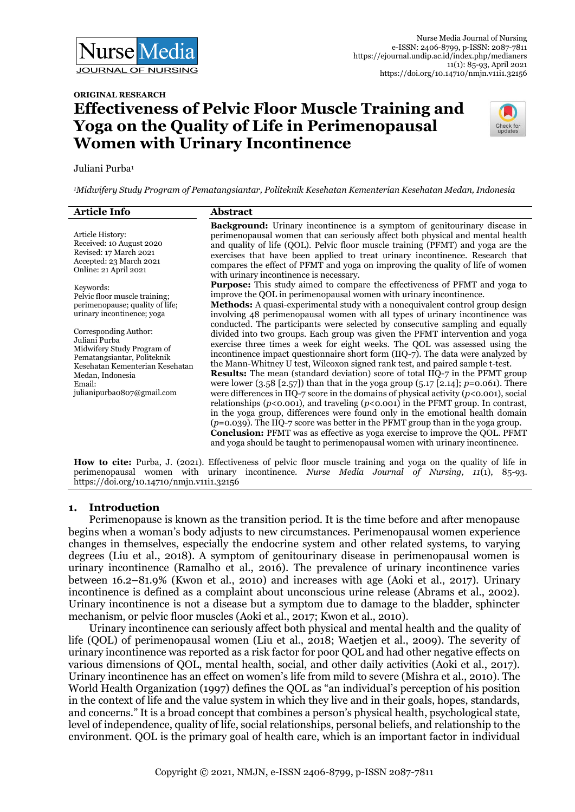

# **ORIGINAL RESEARCH Effectiveness of Pelvic Floor Muscle Training and Yoga on the Quality of Life in Perimenopausal Women with Urinary Incontinence**



#### Juliani Purba<sup>1</sup>

*<sup>1</sup>Midwifery Study Program of Pematangsiantar, Politeknik Kesehatan Kementerian Kesehatan Medan, Indonesia* 

| <b>Article Info</b>                                                                                                                                                                                | Abstract                                                                                                                                                                                                                                                                                                                                                                                                                                                                                                                                                                                                                                                                                                                                                                                                                                                                                                                                                                                                                                                                                                                               |
|----------------------------------------------------------------------------------------------------------------------------------------------------------------------------------------------------|----------------------------------------------------------------------------------------------------------------------------------------------------------------------------------------------------------------------------------------------------------------------------------------------------------------------------------------------------------------------------------------------------------------------------------------------------------------------------------------------------------------------------------------------------------------------------------------------------------------------------------------------------------------------------------------------------------------------------------------------------------------------------------------------------------------------------------------------------------------------------------------------------------------------------------------------------------------------------------------------------------------------------------------------------------------------------------------------------------------------------------------|
| Article History:<br>Received: 10 August 2020<br>Revised: 17 March 2021<br>Accepted: 23 March 2021<br>Online: 21 April 2021                                                                         | <b>Background:</b> Urinary incontinence is a symptom of genitourinary disease in<br>perimenopausal women that can seriously affect both physical and mental health<br>and quality of life (QOL). Pelvic floor muscle training (PFMT) and yoga are the<br>exercises that have been applied to treat urinary incontinence. Research that<br>compares the effect of PFMT and yoga on improving the quality of life of women<br>with urinary incontinence is necessary.                                                                                                                                                                                                                                                                                                                                                                                                                                                                                                                                                                                                                                                                    |
| Keywords:<br>Pelvic floor muscle training;<br>perimenopause; quality of life;<br>urinary incontinence; yoga                                                                                        | <b>Purpose:</b> This study aimed to compare the effectiveness of PFMT and yoga to<br>improve the QOL in perimenopausal women with urinary incontinence.<br><b>Methods:</b> A quasi-experimental study with a nonequivalent control group design<br>involving 48 perimenopausal women with all types of urinary incontinence was                                                                                                                                                                                                                                                                                                                                                                                                                                                                                                                                                                                                                                                                                                                                                                                                        |
| Corresponding Author:<br>Juliani Purba<br>Midwifery Study Program of<br>Pematangsiantar, Politeknik<br>Kesehatan Kementerian Kesehatan<br>Medan, Indonesia<br>Email:<br>julianipurba0807@gmail.com | conducted. The participants were selected by consecutive sampling and equally<br>divided into two groups. Each group was given the PFMT intervention and yoga<br>exercise three times a week for eight weeks. The QOL was assessed using the<br>incontinence impact questionnaire short form (IIQ-7). The data were analyzed by<br>the Mann-Whitney U test, Wilcoxon signed rank test, and paired sample t-test.<br><b>Results:</b> The mean (standard deviation) score of total IIQ-7 in the PFMT group<br>were lower $(3.58 [2.57])$ than that in the yoga group $(5.17 [2.14])$ ; $p=0.061$ ). There<br>were differences in IIQ-7 score in the domains of physical activity ( $p$ <0.001), social<br>relationships ( $p$ <0.001), and traveling ( $p$ <0.001) in the PFMT group. In contrast,<br>in the yoga group, differences were found only in the emotional health domain<br>$(p=0.039)$ . The IIQ-7 score was better in the PFMT group than in the yoga group.<br>Conclusion: PFMT was as effective as yoga exercise to improve the QOL. PFMT<br>and yoga should be taught to perimenopausal women with urinary incontinence. |
|                                                                                                                                                                                                    | <b>How to cite:</b> Purba, J. (2021). Effectiveness of pelvic floor muscle training and yoga on the quality of life in                                                                                                                                                                                                                                                                                                                                                                                                                                                                                                                                                                                                                                                                                                                                                                                                                                                                                                                                                                                                                 |

perimenopausal women with urinary incontinence. *Nurse Media Journal of Nursing, 11*(1), 85-93. https://doi.org/10.14710/nmjn.v11i1.32156

## **1. Introduction**

Perimenopause is known as the transition period. It is the time before and after menopause begins when a woman's body adjusts to new circumstances. Perimenopausal women experience changes in themselves, especially the endocrine system and other related systems, to varying degrees (Liu et al., 2018). A symptom of genitourinary disease in perimenopausal women is urinary incontinence (Ramalho et al., 2016). The prevalence of urinary incontinence varies between 16.2–81.9% (Kwon et al., 2010) and increases with age (Aoki et al., 2017). Urinary incontinence is defined as a complaint about unconscious urine release (Abrams et al., 2002). Urinary incontinence is not a disease but a symptom due to damage to the bladder, sphincter mechanism, or pelvic floor muscles (Aoki et al., 2017; Kwon et al., 2010).

Urinary incontinence can seriously affect both physical and mental health and the quality of life (QOL) of perimenopausal women (Liu et al., 2018; Waetjen et al., 2009). The severity of urinary incontinence was reported as a risk factor for poor QOL and had other negative effects on various dimensions of QOL, mental health, social, and other daily activities (Aoki et al., 2017). Urinary incontinence has an effect on women's life from mild to severe (Mishra et al., 2010). The World Health Organization (1997) defines the QOL as "an individual's perception of his position in the context of life and the value system in which they live and in their goals, hopes, standards, and concerns." It is a broad concept that combines a person's physical health, psychological state, level of independence, quality of life, social relationships, personal beliefs, and relationship to the environment. QOL is the primary goal of health care, which is an important factor in individual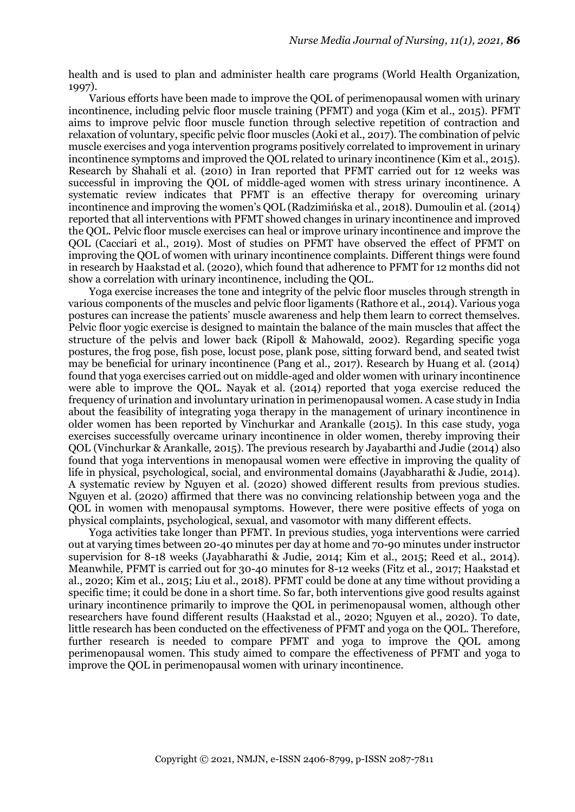health and is used to plan and administer health care programs (World Health Organization, 1997).

Various efforts have been made to improve the QOL of perimenopausal women with urinary incontinence, including pelvic floor muscle training (PFMT) and yoga (Kim et al., 2015). PFMT aims to improve pelvic floor muscle function through selective repetition of contraction and relaxation of voluntary, specific pelvic floor muscles (Aoki et al., 2017). The combination of pelvic muscle exercises and yoga intervention programs positively correlated to improvement in urinary incontinence symptoms and improved the QOL related to urinary incontinence (Kim et al., 2015). Research by Shahali et al. (2010) in Iran reported that PFMT carried out for 12 weeks was successful in improving the QOL of middle-aged women with stress urinary incontinence. A systematic review indicates that PFMT is an effective therapy for overcoming urinary incontinence and improving the women's QOL (Radzimińska et al., 2018). Dumoulin et al. (2014) reported that all interventions with PFMT showed changes in urinary incontinence and improved the QOL. Pelvic floor muscle exercises can heal or improve urinary incontinence and improve the QOL (Cacciari et al., 2019). Most of studies on PFMT have observed the effect of PFMT on improving the QOL of women with urinary incontinence complaints. Different things were found in research by Haakstad et al. (2020), which found that adherence to PFMT for 12 months did not show a correlation with urinary incontinence, including the QOL.

Yoga exercise increases the tone and integrity of the pelvic floor muscles through strength in various components of the muscles and pelvic floor ligaments (Rathore et al., 2014). Various yoga postures can increase the patients' muscle awareness and help them learn to correct themselves. Pelvic floor yogic exercise is designed to maintain the balance of the main muscles that affect the structure of the pelvis and lower back (Ripoll & Mahowald, 2002). Regarding specific yoga postures, the frog pose, fish pose, locust pose, plank pose, sitting forward bend, and seated twist may be beneficial for urinary incontinence (Pang et al., 2017). Research by Huang et al. (2014) found that yoga exercises carried out on middle-aged and older women with urinary incontinence were able to improve the QOL. Nayak et al. (2014) reported that yoga exercise reduced the frequency of urination and involuntary urination in perimenopausal women. A case study in India about the feasibility of integrating yoga therapy in the management of urinary incontinence in older women has been reported by Vinchurkar and Arankalle (2015). In this case study, yoga exercises successfully overcame urinary incontinence in older women, thereby improving their QOL (Vinchurkar & Arankalle, 2015). The previous research by Jayabarthi and Judie (2014) also found that yoga interventions in menopausal women were effective in improving the quality of life in physical, psychological, social, and environmental domains (Jayabharathi & Judie, 2014). A systematic review by Nguyen et al. (2020) showed different results from previous studies. Nguyen et al. (2020) affirmed that there was no convincing relationship between yoga and the QOL in women with menopausal symptoms. However, there were positive effects of yoga on physical complaints, psychological, sexual, and vasomotor with many different effects.

Yoga activities take longer than PFMT. In previous studies, yoga interventions were carried out at varying times between 20-40 minutes per day at home and 70-90 minutes under instructor supervision for 8-18 weeks (Jayabharathi & Judie, 2014; Kim et al., 2015; Reed et al., 2014). Meanwhile, PFMT is carried out for 30-40 minutes for 8-12 weeks (Fitz et al., 2017; Haakstad et al., 2020; Kim et al., 2015; Liu et al., 2018). PFMT could be done at any time without providing a specific time; it could be done in a short time. So far, both interventions give good results against urinary incontinence primarily to improve the QOL in perimenopausal women, although other researchers have found different results (Haakstad et al., 2020; Nguyen et al., 2020). To date, little research has been conducted on the effectiveness of PFMT and yoga on the QOL. Therefore, further research is needed to compare PFMT and yoga to improve the QOL among perimenopausal women. This study aimed to compare the effectiveness of PFMT and yoga to improve the QOL in perimenopausal women with urinary incontinence.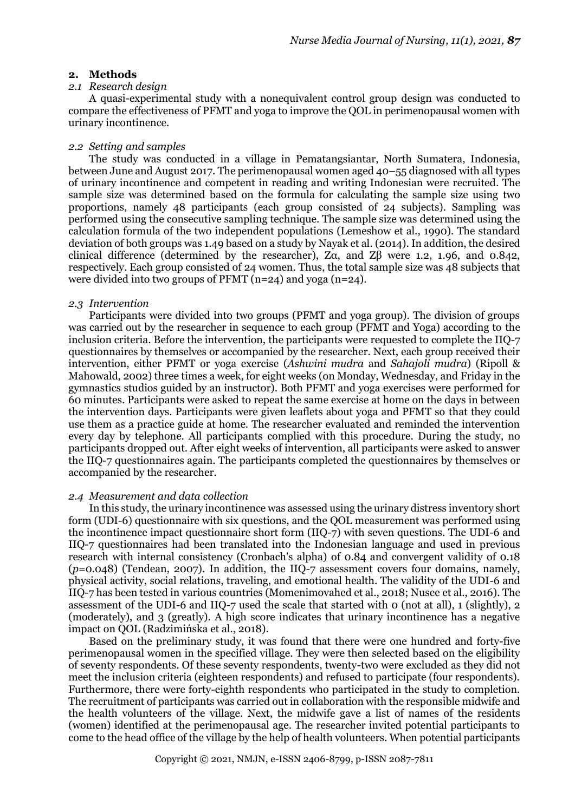#### **2. Methods**

#### *2.1 Research design*

A quasi-experimental study with a nonequivalent control group design was conducted to compare the effectiveness of PFMT and yoga to improve the QOL in perimenopausal women with urinary incontinence.

#### *2.2 Setting and samples*

The study was conducted in a village in Pematangsiantar, North Sumatera, Indonesia, between June and August 2017. The perimenopausal women aged 40–55 diagnosed with all types of urinary incontinence and competent in reading and writing Indonesian were recruited. The sample size was determined based on the formula for calculating the sample size using two proportions, namely 48 participants (each group consisted of 24 subjects). Sampling was performed using the consecutive sampling technique. The sample size was determined using the calculation formula of the two independent populations (Lemeshow et al., 1990). The standard deviation of both groups was 1.49 based on a study by Nayak et al. (2014). In addition, the desired clinical difference (determined by the researcher), Zα, and Zβ were 1.2, 1.96, and 0.842, respectively. Each group consisted of 24 women. Thus, the total sample size was 48 subjects that were divided into two groups of PFMT (n=24) and yoga (n=24).

#### *2.3 Intervention*

Participants were divided into two groups (PFMT and yoga group). The division of groups was carried out by the researcher in sequence to each group (PFMT and Yoga) according to the inclusion criteria. Before the intervention, the participants were requested to complete the IIQ-7 questionnaires by themselves or accompanied by the researcher. Next, each group received their intervention, either PFMT or yoga exercise (*Ashwini mudra* and *Sahajoli mudra*) (Ripoll & Mahowald, 2002) three times a week, for eight weeks (on Monday, Wednesday, and Friday in the gymnastics studios guided by an instructor). Both PFMT and yoga exercises were performed for 60 minutes. Participants were asked to repeat the same exercise at home on the days in between the intervention days. Participants were given leaflets about yoga and PFMT so that they could use them as a practice guide at home. The researcher evaluated and reminded the intervention every day by telephone. All participants complied with this procedure. During the study, no participants dropped out. After eight weeks of intervention, all participants were asked to answer the IIQ-7 questionnaires again. The participants completed the questionnaires by themselves or accompanied by the researcher.

#### *2.4 Measurement and data collection*

In this study, the urinary incontinence was assessed using the urinary distress inventory short form (UDI-6) questionnaire with six questions, and the QOL measurement was performed using the incontinence impact questionnaire short form (IIQ-7) with seven questions. The UDI-6 and IIQ-7 questionnaires had been translated into the Indonesian language and used in previous research with internal consistency (Cronbach's alpha) of 0.84 and convergent validity of 0.18 (*p*=0.048) (Tendean, 2007). In addition, the IIQ-7 assessment covers four domains, namely, physical activity, social relations, traveling, and emotional health. The validity of the UDI-6 and IIQ-7 has been tested in various countries (Momenimovahed et al., 2018; Nusee et al., 2016). The assessment of the UDI-6 and IIQ-7 used the scale that started with 0 (not at all), 1 (slightly), 2 (moderately), and 3 (greatly). A high score indicates that urinary incontinence has a negative impact on QOL (Radzimińska et al., 2018).

Based on the preliminary study, it was found that there were one hundred and forty-five perimenopausal women in the specified village. They were then selected based on the eligibility of seventy respondents. Of these seventy respondents, twenty-two were excluded as they did not meet the inclusion criteria (eighteen respondents) and refused to participate (four respondents). Furthermore, there were forty-eighth respondents who participated in the study to completion. The recruitment of participants was carried out in collaboration with the responsible midwife and the health volunteers of the village. Next, the midwife gave a list of names of the residents (women) identified at the perimenopausal age. The researcher invited potential participants to come to the head office of the village by the help of health volunteers. When potential participants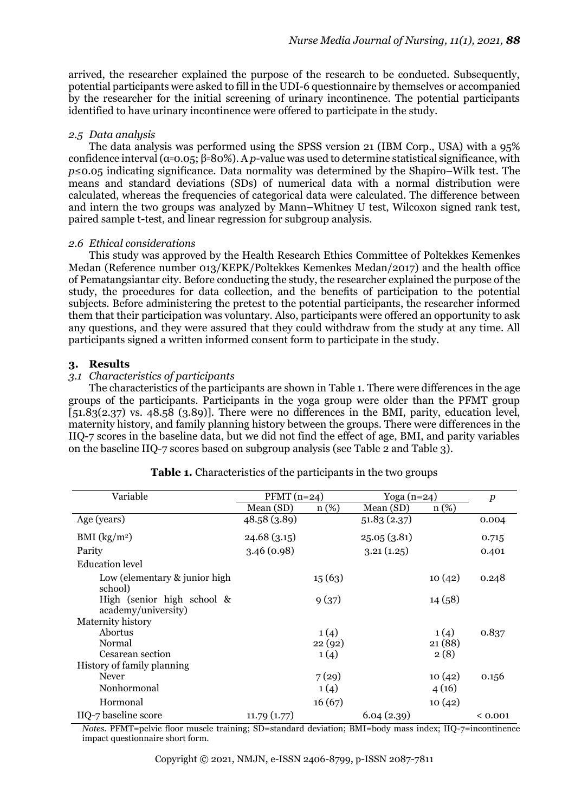arrived, the researcher explained the purpose of the research to be conducted. Subsequently, potential participants were asked to fill in the UDI-6 questionnaire by themselves or accompanied by the researcher for the initial screening of urinary incontinence. The potential participants identified to have urinary incontinence were offered to participate in the study.

## *2.5 Data analysis*

The data analysis was performed using the SPSS version 21 (IBM Corp., USA) with a 95% confidence interval (α=0.05; β=80%). A *p*-value was used to determine statistical significance, with *p*≤0.05 indicating significance. Data normality was determined by the Shapiro–Wilk test. The means and standard deviations (SDs) of numerical data with a normal distribution were calculated, whereas the frequencies of categorical data were calculated. The difference between and intern the two groups was analyzed by Mann–Whitney U test, Wilcoxon signed rank test, paired sample t-test, and linear regression for subgroup analysis.

#### *2.6 Ethical considerations*

This study was approved by the Health Research Ethics Committee of Poltekkes Kemenkes Medan (Reference number 013/KEPK/Poltekkes Kemenkes Medan/2017) and the health office of Pematangsiantar city. Before conducting the study, the researcher explained the purpose of the study, the procedures for data collection, and the benefits of participation to the potential subjects. Before administering the pretest to the potential participants, the researcher informed them that their participation was voluntary. Also, participants were offered an opportunity to ask any questions, and they were assured that they could withdraw from the study at any time. All participants signed a written informed consent form to participate in the study.

## **3. Results**

## *3.1 Characteristics of participants*

The characteristics of the participants are shown in Table 1. There were differences in the age groups of the participants. Participants in the yoga group were older than the PFMT group  $[51.83(2.37)$  vs. 48.58 (3.89)]. There were no differences in the BMI, parity, education level, maternity history, and family planning history between the groups. There were differences in the IIQ-7 scores in the baseline data, but we did not find the effect of age, BMI, and parity variables on the baseline IIQ-7 scores based on subgroup analysis (see Table 2 and Table 3).

| Variable                                          | $\overline{\text{PFMT}}$ (n=24) |         | Yoga (n=24) |          | $\boldsymbol{p}$ |
|---------------------------------------------------|---------------------------------|---------|-------------|----------|------------------|
|                                                   | Mean (SD)                       | $n(\%)$ | Mean (SD)   | $n (\%)$ |                  |
| Age (years)                                       | 48.58 (3.89)                    |         | 51.83(2.37) |          | 0.004            |
| BMI $(kg/m2)$                                     | 24.68(3.15)                     |         | 25.05(3.81) |          | 0.715            |
| Parity                                            | 3.46(0.98)                      |         | 3.21(1.25)  |          | 0.401            |
| Education level                                   |                                 |         |             |          |                  |
| Low (elementary & junior high<br>school)          |                                 | 15(63)  |             | 10(42)   | 0.248            |
| High (senior high school &<br>academy/university) |                                 | 9(37)   |             | 14(58)   |                  |
| Maternity history                                 |                                 |         |             |          |                  |
| Abortus                                           |                                 | 1(4)    |             | 1(4)     | 0.837            |
| Normal                                            |                                 | 22(92)  |             | 21(88)   |                  |
| Cesarean section                                  |                                 | 1(4)    |             | 2(8)     |                  |
| History of family planning                        |                                 |         |             |          |                  |
| <b>Never</b>                                      |                                 | 7(29)   |             | 10(42)   | 0.156            |
| Nonhormonal                                       |                                 | 1(4)    |             | 4(16)    |                  |
| Hormonal                                          |                                 | 16(67)  |             | 10(42)   |                  |
| IIQ-7 baseline score                              | 11.79(1.77)                     |         | 6.04(2.39)  |          | ${}_{0.001}$     |

#### **Table 1.** Characteristics of the participants in the two groups

*Notes.* PFMT=pelvic floor muscle training; SD=standard deviation; BMI=body mass index; IIQ-7=incontinence impact questionnaire short form.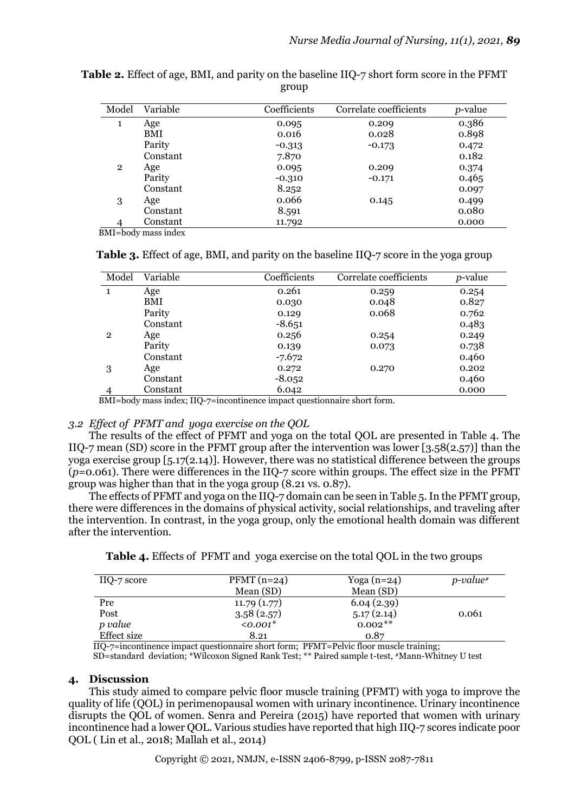| Model        | Variable | Coefficients | Correlate coefficients | <i>p</i> -value |
|--------------|----------|--------------|------------------------|-----------------|
| 1            | Age      | 0.095        | 0.209                  | 0.386           |
|              | BMI      | 0.016        | 0.028                  | 0.898           |
|              | Parity   | $-0.313$     | $-0.173$               | 0.472           |
|              | Constant | 7.870        |                        | 0.182           |
| $\mathbf{2}$ | Age      | 0.095        | 0.209                  | 0.374           |
|              | Parity   | $-0.310$     | $-0.171$               | 0.465           |
|              | Constant | 8.252        |                        | 0.097           |
| 3            | Age      | 0.066        | 0.145                  | 0.499           |
|              | Constant | 8.591        |                        | 0.080           |
|              | Constant | 11.792       |                        | 0.000           |

**Table 2.** Effect of age, BMI, and parity on the baseline IIQ-7 short form score in the PFMT group

BMI=body mass index

**Table 3.** Effect of age, BMI, and parity on the baseline IIQ-7 score in the yoga group

| Model                                                                                         | Variable | Coefficients | Correlate coefficients | <i>p</i> -value |  |  |
|-----------------------------------------------------------------------------------------------|----------|--------------|------------------------|-----------------|--|--|
|                                                                                               | Age      | 0.261        | 0.259                  | 0.254           |  |  |
|                                                                                               | BMI      | 0.030        | 0.048                  | 0.827           |  |  |
|                                                                                               | Parity   | 0.129        | 0.068                  | 0.762           |  |  |
|                                                                                               | Constant | $-8.651$     |                        | 0.483           |  |  |
| $\overline{2}$                                                                                | Age      | 0.256        | 0.254                  | 0.249           |  |  |
|                                                                                               | Parity   | 0.139        | 0.073                  | 0.738           |  |  |
|                                                                                               | Constant | $-7.672$     |                        | 0.460           |  |  |
| 3                                                                                             | Age      | 0.272        | 0.270                  | 0.202           |  |  |
|                                                                                               | Constant | $-8.052$     |                        | 0.460           |  |  |
|                                                                                               | Constant | 6.042        |                        | 0.000           |  |  |
| $\text{DMI}$ hady mass index. $\text{HO}$ $\pi$ -insenting as impact questionnaire short form |          |              |                        |                 |  |  |

BMI=body mass index; IIQ-7=incontinence impact questionnaire short form.

# *3.2 Effect of PFMT and yoga exercise on the QOL*

The results of the effect of PFMT and yoga on the total QOL are presented in Table 4. The IIQ-7 mean (SD) score in the PFMT group after the intervention was lower [3.58(2.57)] than the yoga exercise group  $[5.17(2.14)]$ . However, there was no statistical difference between the groups (*p*=0.061). There were differences in the IIQ-7 score within groups. The effect size in the PFMT group was higher than that in the yoga group (8.21 vs. 0.87).

The effects of PFMT and yoga on the IIQ-7 domain can be seen in Table 5. In the PFMT group, there were differences in the domains of physical activity, social relationships, and traveling after the intervention. In contrast, in the yoga group, only the emotional health domain was different after the intervention.

| IIQ-7 score | $PFMT(n=24)$   | Yoga $(n=24)$ | $p$ -value# |
|-------------|----------------|---------------|-------------|
|             | Mean (SD)      | Mean (SD)     |             |
| Pre         | 11.79(1.77)    | 6.04(2.39)    |             |
| Post        | 3.58(2.57)     | 5.17(2.14)    | 0.061       |
| p value     | $\leq 0.001^*$ | $0.002**$     |             |
| Effect size | 8.21           | 0.87          |             |

**Table 4.** Effects of PFMT and yoga exercise on the total QOL in the two groups

IIQ-7=incontinence impact questionnaire short form; PFMT=Pelvic floor muscle training;

SD=standard deviation; \*Wilcoxon Signed Rank Test; \*\* Paired sample t-test, #Mann-Whitney U test

# **4. Discussion**

This study aimed to compare pelvic floor muscle training (PFMT) with yoga to improve the quality of life (QOL) in perimenopausal women with urinary incontinence. Urinary incontinence disrupts the QOL of women. Senra and Pereira (2015) have reported that women with urinary incontinence had a lower QOL. Various studies have reported that high IIQ-7 scores indicate poor QOL ( Lin et al., 2018; Mallah et al., 2014)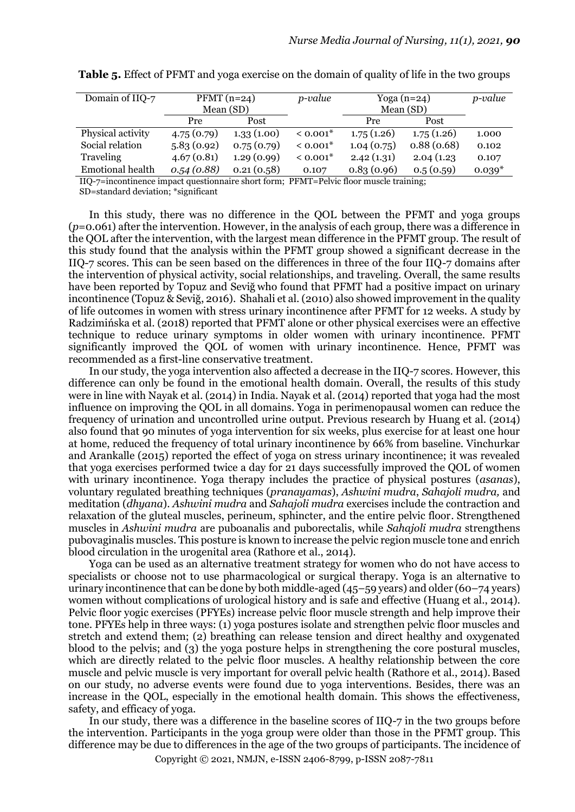| Domain of IIQ-7   | $PFMT(n=24)$ |            | p-value  | Yoga $(n=24)$ |            | <i>p</i> -value |
|-------------------|--------------|------------|----------|---------------|------------|-----------------|
|                   | Mean (SD)    |            |          | Mean (SD)     |            |                 |
|                   | Pre          | Post       |          | Pre           | Post       |                 |
| Physical activity | 4.75(0.79)   | 1.33(1.00) | $0.001*$ | 1.75(1.26)    | 1.75(1.26) | 1.000           |
| Social relation   | 5.83(0.92)   | 0.75(0.79) | $0.001*$ | 1.04(0.75)    | 0.88(0.68) | 0.102           |
| Traveling         | 4.67(0.81)   | 1.29(0.99) | $0.001*$ | 2.42(1.31)    | 2.04(1.23) | 0.107           |
| Emotional health  | 0.54(0.88)   | 0.21(0.58) | 0.107    | 0.83(0.96)    | 0.5(0.59)  | $0.039*$        |

**Table 5.** Effect of PFMT and yoga exercise on the domain of quality of life in the two groups

IIQ-7=incontinence impact questionnaire short form; PFMT=Pelvic floor muscle training;

SD=standard deviation; \*significant

In this study, there was no difference in the QOL between the PFMT and yoga groups (*p*=0.061) after the intervention. However, in the analysis of each group, there was a difference in the QOL after the intervention, with the largest mean difference in the PFMT group. The result of this study found that the analysis within the PFMT group showed a significant decrease in the IIQ-7 scores. This can be seen based on the differences in three of the four IIQ-7 domains after the intervention of physical activity, social relationships, and traveling. Overall, the same results have been reported by Topuz and Seviğ who found that PFMT had a positive impact on urinary incontinence (Topuz & Seviğ, 2016). Shahali et al. (2010) also showed improvement in the quality of life outcomes in women with stress urinary incontinence after PFMT for 12 weeks. A study by Radzimińska et al. (2018) reported that PFMT alone or other physical exercises were an effective technique to reduce urinary symptoms in older women with urinary incontinence. PFMT significantly improved the QOL of women with urinary incontinence. Hence, PFMT was recommended as a first-line conservative treatment.

In our study, the yoga intervention also affected a decrease in the IIQ-7 scores. However, this difference can only be found in the emotional health domain. Overall, the results of this study were in line with Nayak et al. (2014) in India. Nayak et al. (2014) reported that yoga had the most influence on improving the QOL in all domains. Yoga in perimenopausal women can reduce the frequency of urination and uncontrolled urine output. Previous research by Huang et al. (2014) also found that 90 minutes of yoga intervention for six weeks, plus exercise for at least one hour at home, reduced the frequency of total urinary incontinence by 66% from baseline. Vinchurkar and Arankalle (2015) reported the effect of yoga on stress urinary incontinence; it was revealed that yoga exercises performed twice a day for 21 days successfully improved the QOL of women with urinary incontinence. Yoga therapy includes the practice of physical postures (*asanas*), voluntary regulated breathing techniques (*pranayamas*), *Ashwini mudra*, *Sahajoli mudra,* and meditation (*dhyana*). *Ashwini mudra* and *Sahajoli mudra* exercises include the contraction and relaxation of the gluteal muscles, perineum, sphincter, and the entire pelvic floor. Strengthened muscles in *Ashwini mudra* are puboanalis and puborectalis, while *Sahajoli mudra* strengthens pubovaginalis muscles. This posture is known to increase the pelvic region muscle tone and enrich blood circulation in the urogenital area (Rathore et al., 2014).

Yoga can be used as an alternative treatment strategy for women who do not have access to specialists or choose not to use pharmacological or surgical therapy. Yoga is an alternative to urinary incontinence that can be done by both middle-aged (45–59 years) and older (60–74 years) women without complications of urological history and is safe and effective (Huang et al., 2014). Pelvic floor yogic exercises (PFYEs) increase pelvic floor muscle strength and help improve their tone. PFYEs help in three ways: (1) yoga postures isolate and strengthen pelvic floor muscles and stretch and extend them; (2) breathing can release tension and direct healthy and oxygenated blood to the pelvis; and (3) the yoga posture helps in strengthening the core postural muscles, which are directly related to the pelvic floor muscles. A healthy relationship between the core muscle and pelvic muscle is very important for overall pelvic health (Rathore et al., 2014). Based on our study, no adverse events were found due to yoga interventions. Besides, there was an increase in the QOL, especially in the emotional health domain. This shows the effectiveness, safety, and efficacy of yoga.

In our study, there was a difference in the baseline scores of IIQ-7 in the two groups before the intervention. Participants in the yoga group were older than those in the PFMT group. This difference may be due to differences in the age of the two groups of participants. The incidence of

Copyright © 2021, NMJN, e-ISSN 2406-8799, p-ISSN 2087-7811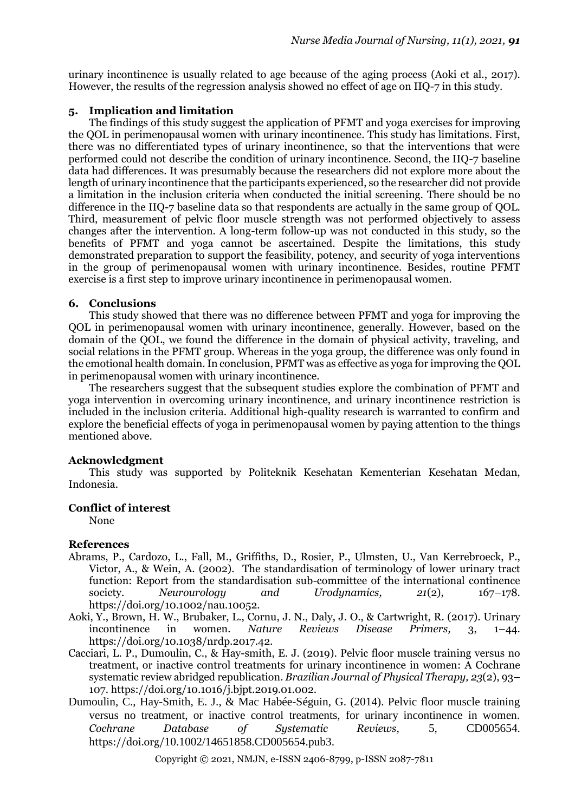urinary incontinence is usually related to age because of the aging process (Aoki et al., 2017). However, the results of the regression analysis showed no effect of age on IIQ-7 in this study.

# **5. Implication and limitation**

The findings of this study suggest the application of PFMT and yoga exercises for improving the QOL in perimenopausal women with urinary incontinence. This study has limitations. First, there was no differentiated types of urinary incontinence, so that the interventions that were performed could not describe the condition of urinary incontinence. Second, the IIQ-7 baseline data had differences. It was presumably because the researchers did not explore more about the length of urinary incontinence that the participants experienced, so the researcher did not provide a limitation in the inclusion criteria when conducted the initial screening. There should be no difference in the IIQ-7 baseline data so that respondents are actually in the same group of QOL. Third, measurement of pelvic floor muscle strength was not performed objectively to assess changes after the intervention. A long-term follow-up was not conducted in this study, so the benefits of PFMT and yoga cannot be ascertained. Despite the limitations, this study demonstrated preparation to support the feasibility, potency, and security of yoga interventions in the group of perimenopausal women with urinary incontinence. Besides, routine PFMT exercise is a first step to improve urinary incontinence in perimenopausal women.

## **6. Conclusions**

This study showed that there was no difference between PFMT and yoga for improving the QOL in perimenopausal women with urinary incontinence, generally. However, based on the domain of the QOL, we found the difference in the domain of physical activity, traveling, and social relations in the PFMT group. Whereas in the yoga group, the difference was only found in the emotional health domain. In conclusion, PFMT was as effective as yoga for improving the QOL in perimenopausal women with urinary incontinence.

The researchers suggest that the subsequent studies explore the combination of PFMT and yoga intervention in overcoming urinary incontinence, and urinary incontinence restriction is included in the inclusion criteria. Additional high-quality research is warranted to confirm and explore the beneficial effects of yoga in perimenopausal women by paying attention to the things mentioned above.

## **Acknowledgment**

This study was supported by Politeknik Kesehatan Kementerian Kesehatan Medan, Indonesia.

## **Conflict of interest**

None

## **References**

- Abrams, P., Cardozo, L., Fall, M., Griffiths, D., Rosier, P., Ulmsten, U., Van Kerrebroeck, P., Victor, A., & Wein, A. (2002). The standardisation of terminology of lower urinary tract function: Report from the standardisation sub-committee of the international continence society. *Neurourology and Urodynamics, 21*(2), 167–178. https://doi.org/10.1002/nau.10052.
- Aoki, Y., Brown, H. W., Brubaker, L., Cornu, J. N., Daly, J. O., & Cartwright, R. (2017). Urinary incontinence in women. *Nature Reviews Disease Primers,* 3, 1–44. https://doi.org/10.1038/nrdp.2017.42.
- Cacciari, L. P., Dumoulin, C., & Hay-smith, E. J. (2019). Pelvic floor muscle training versus no treatment, or inactive control treatments for urinary incontinence in women: A Cochrane systematic review abridged republication. *Brazilian Journal of Physical Therapy, 23*(2), 93– 107. https://doi.org/10.1016/j.bjpt.2019.01.002.
- Dumoulin, C., Hay-Smith, E. J., & Mac Habée-Séguin, G. (2014). Pelvic floor muscle training versus no treatment, or inactive control treatments, for urinary incontinence in women. *Cochrane Database of Systematic Reviews*, 5, CD005654. https://doi.org/10.1002/14651858.CD005654.pub3.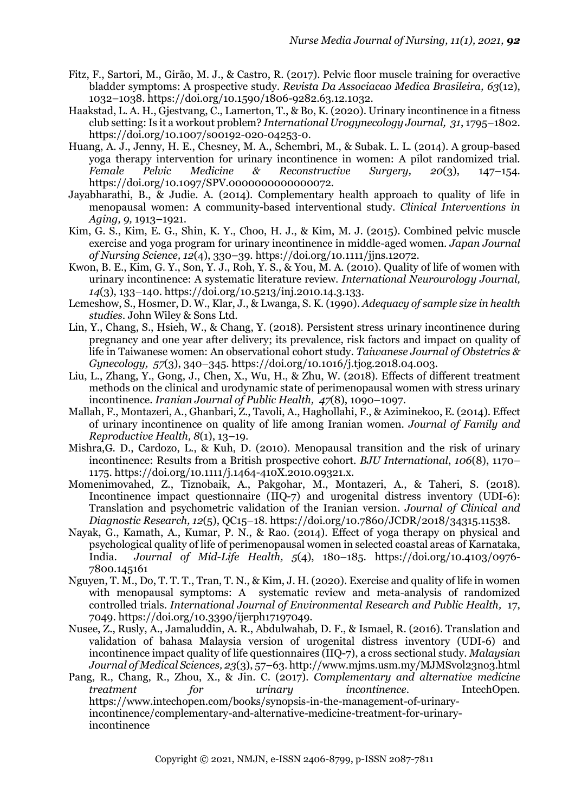- Fitz, F., Sartori, M., Girão, M. J., & Castro, R. (2017). Pelvic floor muscle training for overactive bladder symptoms: A prospective study. *Revista Da Associacao Medica Brasileira, 63*(12), 1032–1038. https://doi.org/10.1590/1806-9282.63.12.1032.
- Haakstad, L. A. H., Gjestvang, C., Lamerton, T., & Bo, K. (2020). Urinary incontinence in a fitness club setting: Is it a workout problem? *International Urogynecology Journal, 31*, 1795–1802. https://doi.org/10.1007/s00192-020-04253-0.
- Huang, A. J., Jenny, H. E., Chesney, M. A., Schembri, M., & Subak. L. L. (2014). A group-based yoga therapy intervention for urinary incontinence in women: A pilot randomized trial. *Female Pelvic Medicine & Reconstructive Surgery, 20*(3), 147–154. https://doi.org/10.1097/SPV.0000000000000072.
- Jayabharathi, B., & Judie. A. (2014). Complementary health approach to quality of life in menopausal women: A community-based interventional study. *Clinical Interventions in Aging, 9,* 1913–1921.
- Kim, G. S., Kim, E. G., Shin, K. Y., Choo, H. J., & Kim, M. J. (2015). Combined pelvic muscle exercise and yoga program for urinary incontinence in middle-aged women. *Japan Journal of Nursing Science, 12*(4), 330–39. https://doi.org/10.1111/jjns.12072.
- Kwon, B. E., Kim, G. Y., Son, Y. J., Roh, Y. S., & You, M. A. (2010). Quality of life of women with urinary incontinence: A systematic literature review. *International Neurourology Journal, 14*(3), 133–140. https://doi.org/10.5213/inj.2010.14.3.133.
- Lemeshow, S., Hosmer, D. W., Klar, J., & Lwanga, S. K. (1990). *Adequacy of sample size in health studies.* John Wiley & Sons Ltd.
- Lin, Y., Chang, S., Hsieh, W., & Chang, Y. (2018). Persistent stress urinary incontinence during pregnancy and one year after delivery; its prevalence, risk factors and impact on quality of life in Taiwanese women: An observational cohort study. *Taiwanese Journal of Obstetrics & Gynecology, 57*(3), 340–345. https://doi.org/10.1016/j.tjog.2018.04.003.
- Liu, L., Zhang, Y., Gong, J., Chen, X., Wu, H., & Zhu, W. (2018). Effects of different treatment methods on the clinical and urodynamic state of perimenopausal women with stress urinary incontinence. *Iranian Journal of Public Health, 47*(8), 1090–1097.
- Mallah, F., Montazeri, A., Ghanbari, Z., Tavoli, A., Haghollahi, F., & Aziminekoo, E. (2014). Effect of urinary incontinence on quality of life among Iranian women. *Journal of Family and Reproductive Health, 8*(1), 13–19.
- Mishra,G. D., Cardozo, L., & Kuh, D. (2010). Menopausal transition and the risk of urinary incontinence: Results from a British prospective cohort. *BJU International*, *106*(8), 1170– 1175. https://doi.org/10.1111/j.1464-410X.2010.09321.x.
- Momenimovahed, Z., Tiznobaik, A., Pakgohar, M., Montazeri, A., & Taheri, S. (2018). Incontinence impact questionnaire (IIQ-7) and urogenital distress inventory (UDI-6): Translation and psychometric validation of the Iranian version. *Journal of Clinical and Diagnostic Research, 12*(5), QC15–18. https://doi.org/10.7860/JCDR/2018/34315.11538.
- Nayak, G., Kamath, A., Kumar, P. N., & Rao. (2014). Effect of yoga therapy on physical and psychological quality of life of perimenopausal women in selected coastal areas of Karnataka, India. *Journal of Mid-Life Health, 5*(4), 180–185. https://doi.org/10.4103/0976- 7800.145161
- Nguyen, T. M., Do, T. T. T., Tran, T. N., & Kim, J. H. (2020). Exercise and quality of life in women with menopausal symptoms: A systematic review and meta-analysis of randomized controlled trials. *International Journal of Environmental Research and Public Health,* 17, 7049. https://doi.org/10.3390/ijerph17197049.
- Nusee, Z., Rusly, A., Jamaluddin, A. R., Abdulwahab, D. F., & Ismael, R. (2016). Translation and validation of bahasa Malaysia version of urogenital distress inventory (UDI-6) and incontinence impact quality of life questionnaires (IIQ-7), a cross sectional study. *Malaysian Journal of Medical Sciences, 23*(3), 57–63. http://www.mjms.usm.my/MJMSvol23no3.html
- Pang, R., Chang, R., Zhou, X., & Jin. C. (2017). *Complementary and alternative medicine treatment for urinary incontinence*. IntechOpen. https://www.intechopen.com/books/synopsis-in-the-management-of-urinaryincontinence/complementary-and-alternative-medicine-treatment-for-urinaryincontinence